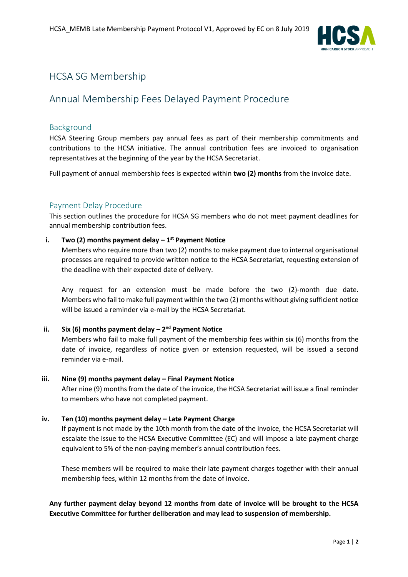

# HCSA SG Membership

# Annual Membership Fees Delayed Payment Procedure

### Background

HCSA Steering Group members pay annual fees as part of their membership commitments and contributions to the HCSA initiative. The annual contribution fees are invoiced to organisation representatives at the beginning of the year by the HCSA Secretariat.

Full payment of annual membership fees is expected within **two (2) months** from the invoice date.

### Payment Delay Procedure

This section outlines the procedure for HCSA SG members who do not meet payment deadlines for annual membership contribution fees.

#### **i. Two (2) months payment delay – 1 st Payment Notice**

Members who require more than two (2) months to make payment due to internal organisational processes are required to provide written notice to the HCSA Secretariat, requesting extension of the deadline with their expected date of delivery.

Any request for an extension must be made before the two (2)-month due date. Members who fail to make full payment within the two (2) months without giving sufficient notice will be issued a reminder via e-mail by the HCSA Secretariat.

#### **ii. Six (6) months payment delay – 2 nd Payment Notice**

Members who fail to make full payment of the membership fees within six (6) months from the date of invoice, regardless of notice given or extension requested, will be issued a second reminder via e-mail.

#### **iii.** Nine (9) months payment delay – Final Payment Notice

After nine (9) months from the date of the invoice, the HCSA Secretariat will issue a final reminder to members who have not completed payment.

#### **iv. Ten (10) months payment delay – Late Payment Charge**

If payment is not made by the 10th month from the date of the invoice, the HCSA Secretariat will escalate the issue to the HCSA Executive Committee (EC) and will impose a late payment charge equivalent to 5% of the non-paying member's annual contribution fees.

These members will be required to make their late payment charges together with their annual membership fees, within 12 months from the date of invoice.

**Any further payment delay beyond 12 months from date of invoice will be brought to the HCSA Executive Committee for further deliberation and may lead to suspension of membership.**